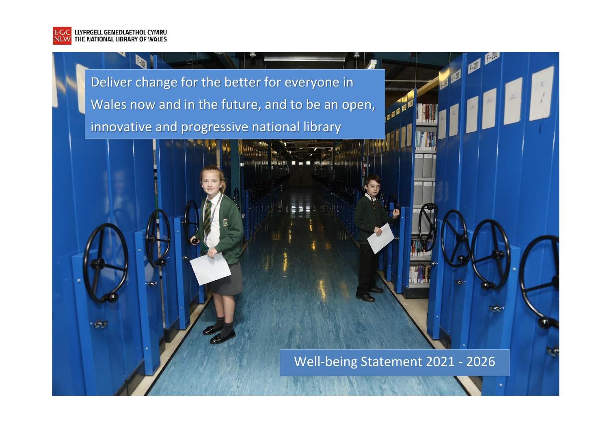

**TANK** 

Deliver change for the better for everyone in Wales now and in the future, and to be an open, innovative and progressive national library

Well-being Statement 2021 - 2026

 $\left\langle \right\rangle$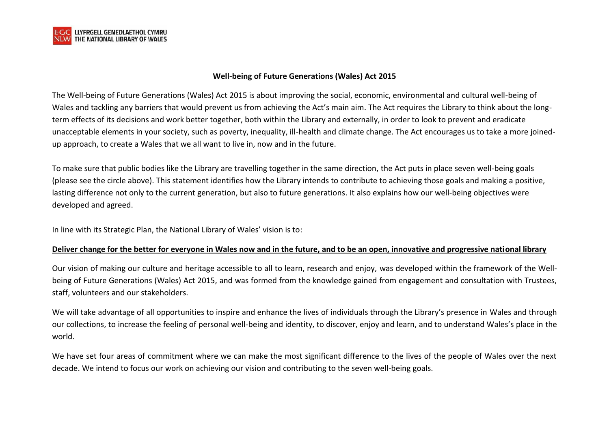

## **Well-being of Future Generations (Wales) Act 2015**

The Well-being of Future Generations (Wales) Act 2015 is about improving the social, economic, environmental and cultural well-being of Wales and tackling any barriers that would prevent us from achieving the Act's main aim. The Act requires the Library to think about the longterm effects of its decisions and work better together, both within the Library and externally, in order to look to prevent and eradicate unacceptable elements in your society, such as poverty, inequality, ill-health and climate change. The Act encourages us to take a more joinedup approach, to create a Wales that we all want to live in, now and in the future.

To make sure that public bodies like the Library are travelling together in the same direction, the Act puts in place seven well-being goals (please see the circle above). This statement identifies how the Library intends to contribute to achieving those goals and making a positive, lasting difference not only to the current generation, but also to future generations. It also explains how our well-being objectives were developed and agreed.

In line with its Strategic Plan, the National Library of Wales' vision is to:

### **Deliver change for the better for everyone in Wales now and in the future, and to be an open, innovative and progressive national library**

Our vision of making our culture and heritage accessible to all to learn, research and enjoy, was developed within the framework of the Wellbeing of Future Generations (Wales) Act 2015, and was formed from the knowledge gained from engagement and consultation with Trustees, staff, volunteers and our stakeholders.

We will take advantage of all opportunities to inspire and enhance the lives of individuals through the Library's presence in Wales and through our collections, to increase the feeling of personal well-being and identity, to discover, enjoy and learn, and to understand Wales's place in the world.

We have set four areas of commitment where we can make the most significant difference to the lives of the people of Wales over the next decade. We intend to focus our work on achieving our vision and contributing to the seven well-being goals.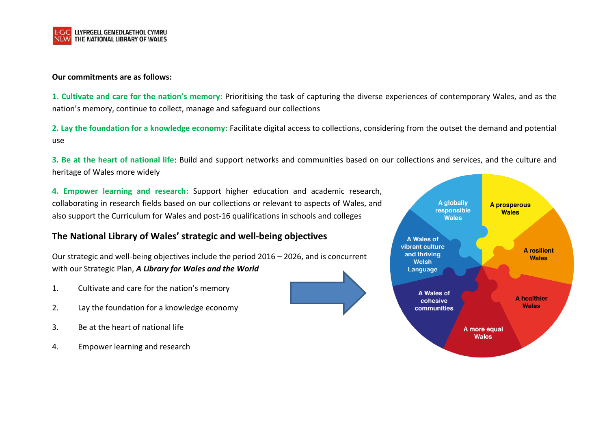

#### **Our commitments are as follows:**

**1. Cultivate and care for the nation's memory:** Prioritising the task of capturing the diverse experiences of contemporary Wales, and as the nation's memory, continue to collect, manage and safeguard our collections

**2. Lay the foundation for a knowledge economy:** Facilitate digital access to collections, considering from the outset the demand and potential use

**3. Be at the heart of national life**: Build and support networks and communities based on our collections and services, and the culture and heritage of Wales more widely

**4. Empower learning and research:** Support higher education and academic research, collaborating in research fields based on our collections or relevant to aspects of Wales, and also support the Curriculum for Wales and post-16 qualifications in schools and colleges

## **The National Library of Wales' strategic and well-being objectives**

Our strategic and well-being objectives include the period 2016 – 2026, and is concurrent with our Strategic Plan, *A Library for Wales and the World*

- 1. Cultivate and care for the nation's memory
- 2. Lay the foundation for a knowledge economy
- 3. Be at the heart of national life
- 4. Empower learning and research

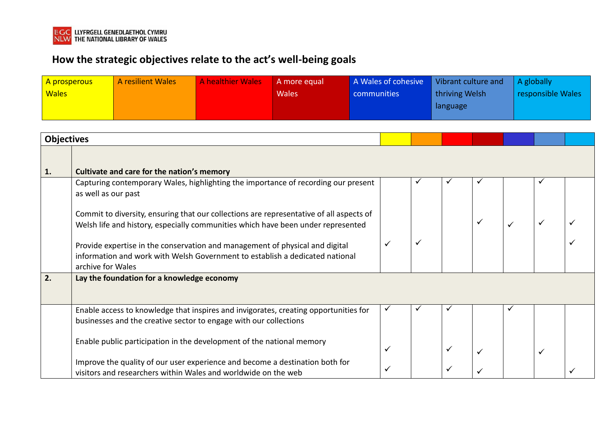

# **How the strategic objectives relate to the act's well-being goals**

| A prosperous<br><b>Wales</b> |                                                                                                                                                                                   | A resilient Wales                                                     | <b>A healthier Wales</b> | A more equal<br><b>Wales</b>                                                         | communities | A Wales of cohesive |  | Vibrant culture and<br>thriving Welsh<br>language |  |              | A globally<br>responsible Wales |  |  |
|------------------------------|-----------------------------------------------------------------------------------------------------------------------------------------------------------------------------------|-----------------------------------------------------------------------|--------------------------|--------------------------------------------------------------------------------------|-------------|---------------------|--|---------------------------------------------------|--|--------------|---------------------------------|--|--|
| <b>Objectives</b>            |                                                                                                                                                                                   |                                                                       |                          |                                                                                      |             |                     |  |                                                   |  |              |                                 |  |  |
| 1.                           |                                                                                                                                                                                   | Cultivate and care for the nation's memory                            |                          |                                                                                      |             |                     |  |                                                   |  |              |                                 |  |  |
|                              | Capturing contemporary Wales, highlighting the importance of recording our present<br>as well as our past                                                                         |                                                                       |                          |                                                                                      |             |                     |  |                                                   |  |              |                                 |  |  |
|                              | Commit to diversity, ensuring that our collections are representative of all aspects of<br>Welsh life and history, especially communities which have been under represented       |                                                                       |                          |                                                                                      |             |                     |  |                                                   |  | $\checkmark$ | $\checkmark$                    |  |  |
|                              | Provide expertise in the conservation and management of physical and digital<br>information and work with Welsh Government to establish a dedicated national<br>archive for Wales |                                                                       |                          |                                                                                      |             |                     |  |                                                   |  |              |                                 |  |  |
| 2.                           | Lay the foundation for a knowledge economy                                                                                                                                        |                                                                       |                          |                                                                                      |             |                     |  |                                                   |  |              |                                 |  |  |
|                              |                                                                                                                                                                                   | businesses and the creative sector to engage with our collections     |                          | Enable access to knowledge that inspires and invigorates, creating opportunities for |             |                     |  |                                                   |  | ✓            |                                 |  |  |
|                              |                                                                                                                                                                                   | Enable public participation in the development of the national memory |                          |                                                                                      |             |                     |  |                                                   |  |              |                                 |  |  |
|                              |                                                                                                                                                                                   | visitors and researchers within Wales and worldwide on the web        |                          | Improve the quality of our user experience and become a destination both for         |             |                     |  |                                                   |  |              |                                 |  |  |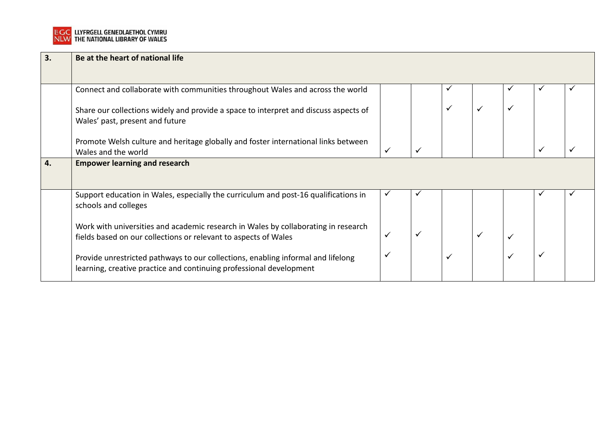

| 3. | Be at the heart of national life                                                                                                                        |              |  |  |  |   |              |  |  |  |  |
|----|---------------------------------------------------------------------------------------------------------------------------------------------------------|--------------|--|--|--|---|--------------|--|--|--|--|
|    | Connect and collaborate with communities throughout Wales and across the world                                                                          |              |  |  |  |   |              |  |  |  |  |
|    | Share our collections widely and provide a space to interpret and discuss aspects of<br>Wales' past, present and future                                 |              |  |  |  |   |              |  |  |  |  |
|    | Promote Welsh culture and heritage globally and foster international links between<br>Wales and the world                                               | $\checkmark$ |  |  |  |   | $\checkmark$ |  |  |  |  |
| 4. | <b>Empower learning and research</b>                                                                                                                    |              |  |  |  |   |              |  |  |  |  |
|    | Support education in Wales, especially the curriculum and post-16 qualifications in<br>schools and colleges                                             | ✔            |  |  |  |   |              |  |  |  |  |
|    | Work with universities and academic research in Wales by collaborating in research<br>fields based on our collections or relevant to aspects of Wales   | $\checkmark$ |  |  |  | ✓ |              |  |  |  |  |
|    | Provide unrestricted pathways to our collections, enabling informal and lifelong<br>learning, creative practice and continuing professional development | $\checkmark$ |  |  |  | ✓ | $\checkmark$ |  |  |  |  |